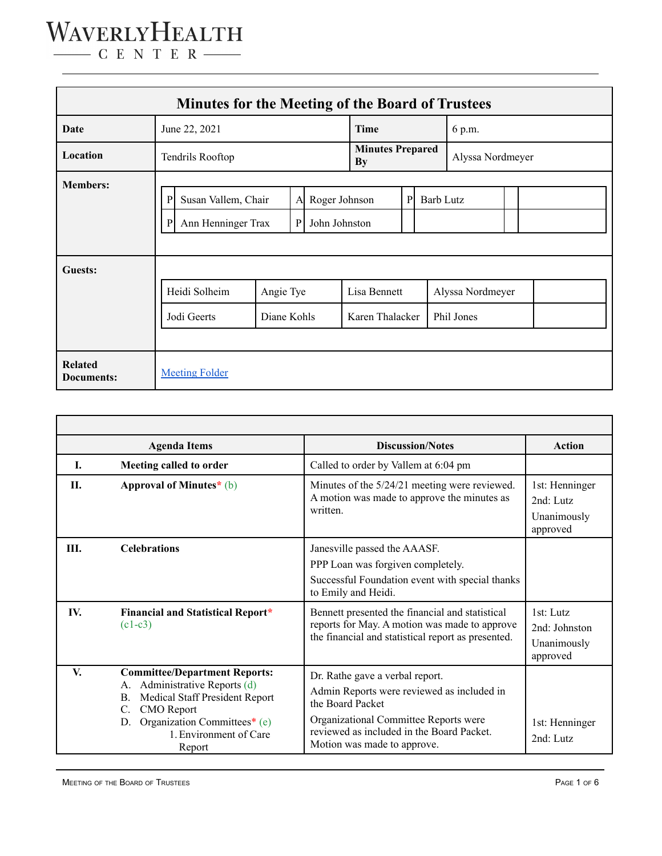| <b>Minutes for the Meeting of the Board of Trustees</b> |                                                                          |                          |                                |                                      |                                 |                  |                                |  |  |  |  |
|---------------------------------------------------------|--------------------------------------------------------------------------|--------------------------|--------------------------------|--------------------------------------|---------------------------------|------------------|--------------------------------|--|--|--|--|
| Date                                                    | June 22, 2021                                                            |                          |                                | <b>Time</b>                          |                                 | 6 p.m.           |                                |  |  |  |  |
| Location                                                | Tendrils Rooftop                                                         |                          |                                | <b>Minutes Prepared</b><br><b>By</b> |                                 | Alyssa Nordmeyer |                                |  |  |  |  |
| <b>Members:</b>                                         | P<br>Susan Vallem, Chair<br>A<br>Ann Henninger Trax<br>$\mathbf{P}$<br>P |                          | Roger Johnson<br>John Johnston |                                      | P                               | <b>Barb Lutz</b> |                                |  |  |  |  |
| Guests:                                                 | Heidi Solheim<br>Jodi Geerts                                             | Angie Tye<br>Diane Kohls |                                |                                      | Lisa Bennett<br>Karen Thalacker |                  | Alyssa Nordmeyer<br>Phil Jones |  |  |  |  |
| <b>Related</b><br>Documents:                            | <b>Meeting Folder</b>                                                    |                          |                                |                                      |                                 |                  |                                |  |  |  |  |

|      | <b>Agenda Items</b>                                                                                                                                                                                                               | <b>Discussion/Notes</b>                                                                                                                                                                                                | <b>Action</b>                                           |
|------|-----------------------------------------------------------------------------------------------------------------------------------------------------------------------------------------------------------------------------------|------------------------------------------------------------------------------------------------------------------------------------------------------------------------------------------------------------------------|---------------------------------------------------------|
| L    | Meeting called to order                                                                                                                                                                                                           | Called to order by Vallem at 6:04 pm                                                                                                                                                                                   |                                                         |
| II.  | Approval of Minutes $*(b)$                                                                                                                                                                                                        | Minutes of the 5/24/21 meeting were reviewed.<br>A motion was made to approve the minutes as<br>written                                                                                                                | 1st: Henninger<br>$2nd$ Lutz<br>Unanimously<br>approved |
| III. | <b>Celebrations</b>                                                                                                                                                                                                               | Janesville passed the AAASF.<br>PPP Loan was forgiven completely.<br>Successful Foundation event with special thanks<br>to Emily and Heidi.                                                                            |                                                         |
| IV.  | Financial and Statistical Report*<br>$(c1-c3)$                                                                                                                                                                                    | Bennett presented the financial and statistical<br>reports for May. A motion was made to approve<br>the financial and statistical report as presented.                                                                 | 1st: Lutz<br>2nd: Johnston<br>Unanimously<br>approved   |
| V.   | <b>Committee/Department Reports:</b><br>Administrative Reports (d)<br>А.<br>Medical Staff President Report<br>$\mathbf{B}$ .<br><b>CMO</b> Report<br>C.<br>Organization Committees* (e)<br>D.<br>1. Environment of Care<br>Report | Dr. Rathe gave a verbal report.<br>Admin Reports were reviewed as included in<br>the Board Packet<br>Organizational Committee Reports were<br>reviewed as included in the Board Packet.<br>Motion was made to approve. | 1st: Henninger<br>2nd: Lutz                             |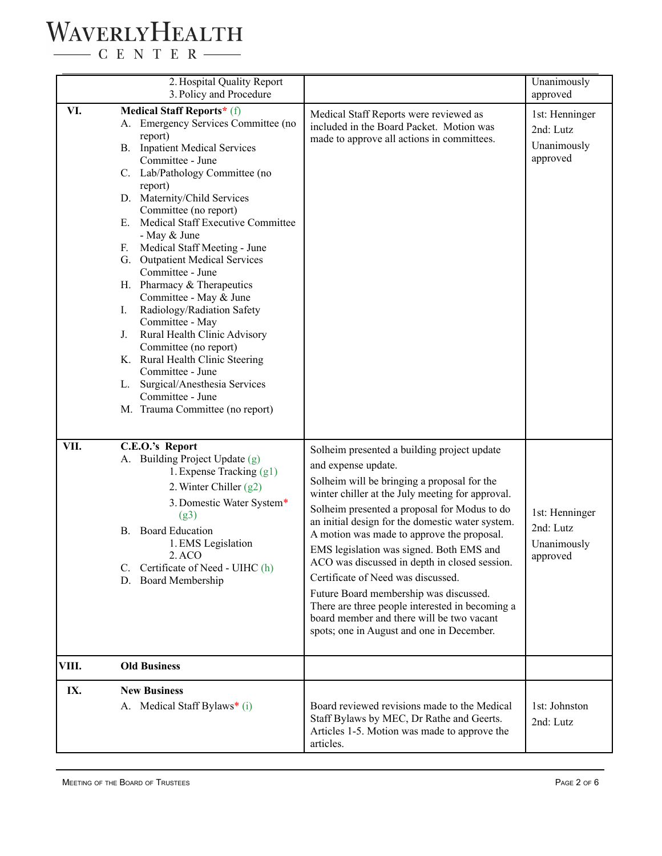# WAVERLYHEALTH

 $\begin{tabular}{c} \quad \quad \textbf{C} \quad E \quad N \quad T \quad E \quad R \end{tabular}$ 

|       | 2. Hospital Quality Report<br>3. Policy and Procedure                                                                                                                                                                                                                                                                                                                                                                                                                                                                                                                                                                                                                                                                               |                                                                                                                                                                                                                                                                                                                                                                                                                                                                                                                                                                                                                                                   | Unanimously<br>approved                                |
|-------|-------------------------------------------------------------------------------------------------------------------------------------------------------------------------------------------------------------------------------------------------------------------------------------------------------------------------------------------------------------------------------------------------------------------------------------------------------------------------------------------------------------------------------------------------------------------------------------------------------------------------------------------------------------------------------------------------------------------------------------|---------------------------------------------------------------------------------------------------------------------------------------------------------------------------------------------------------------------------------------------------------------------------------------------------------------------------------------------------------------------------------------------------------------------------------------------------------------------------------------------------------------------------------------------------------------------------------------------------------------------------------------------------|--------------------------------------------------------|
| VI.   | Medical Staff Reports* (f)<br>A. Emergency Services Committee (no<br>report)<br><b>B.</b> Inpatient Medical Services<br>Committee - June<br>C. Lab/Pathology Committee (no<br>report)<br>D. Maternity/Child Services<br>Committee (no report)<br>Medical Staff Executive Committee<br>Е.<br>- May & June<br>Medical Staff Meeting - June<br>F.<br>G. Outpatient Medical Services<br>Committee - June<br>H. Pharmacy & Therapeutics<br>Committee - May & June<br>Radiology/Radiation Safety<br>Ι.<br>Committee - May<br>Rural Health Clinic Advisory<br>J.<br>Committee (no report)<br>K. Rural Health Clinic Steering<br>Committee - June<br>L. Surgical/Anesthesia Services<br>Committee - June<br>M. Trauma Committee (no report) | Medical Staff Reports were reviewed as<br>included in the Board Packet. Motion was<br>made to approve all actions in committees.                                                                                                                                                                                                                                                                                                                                                                                                                                                                                                                  | 1st: Henninger<br>2nd: Lutz<br>Unanimously<br>approved |
| VII.  | C.E.O.'s Report<br>A. Building Project Update (g)<br>1. Expense Tracking (g1)<br>2. Winter Chiller $(g2)$<br>3. Domestic Water System*<br>(g3)<br><b>Board Education</b><br>В.<br>1. EMS Legislation<br>2. ACO<br>C. Certificate of Need - UIHC (h)<br>D. Board Membership                                                                                                                                                                                                                                                                                                                                                                                                                                                          | Solheim presented a building project update<br>and expense update.<br>Solheim will be bringing a proposal for the<br>winter chiller at the July meeting for approval.<br>Solheim presented a proposal for Modus to do<br>an initial design for the domestic water system.<br>A motion was made to approve the proposal.<br>EMS legislation was signed. Both EMS and<br>ACO was discussed in depth in closed session.<br>Certificate of Need was discussed.<br>Future Board membership was discussed.<br>There are three people interested in becoming a<br>board member and there will be two vacant<br>spots; one in August and one in December. | 1st: Henninger<br>2nd: Lutz<br>Unanimously<br>approved |
| VIII. | <b>Old Business</b>                                                                                                                                                                                                                                                                                                                                                                                                                                                                                                                                                                                                                                                                                                                 |                                                                                                                                                                                                                                                                                                                                                                                                                                                                                                                                                                                                                                                   |                                                        |
| IX.   | <b>New Business</b><br>A. Medical Staff Bylaws* (i)                                                                                                                                                                                                                                                                                                                                                                                                                                                                                                                                                                                                                                                                                 | Board reviewed revisions made to the Medical<br>Staff Bylaws by MEC, Dr Rathe and Geerts.<br>Articles 1-5. Motion was made to approve the<br>articles.                                                                                                                                                                                                                                                                                                                                                                                                                                                                                            | 1st: Johnston<br>2nd: Lutz                             |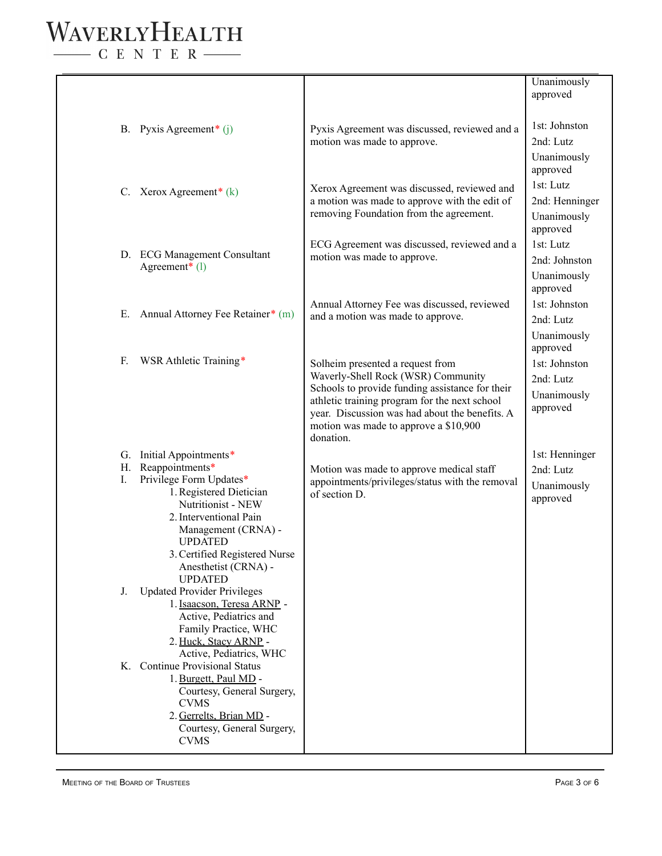#### WAVERLYHEALTH  $-$  C E N T E R  $-$

B. Pyxis Agreement\* (j) C. Xerox Agreement<sup>\*</sup>  $(k)$ D. ECG Management Consultant Agreement\* (l) E. Annual Attorney Fee Retainer\* (m) F. WSR Athletic Training\* G. Initial Appointments\* H. Reappointments\* I. Privilege Form Updates\* 1.Registered Dietician Nutritionist - NEW 2.Interventional Pain Management (CRNA) - UPDATED 3.Certified Registered Nurse Anesthetist (CRNA) - UPDATED J. Updated Provider Privileges 1.Isaacson, Teresa ARNP - Active, Pediatrics and Family Practice, WHC 2. Huck, Stacy ARNP - Active, Pediatrics, WHC K. Continue Provisional Status 1.Burgett, Paul MD - Courtesy, General Surgery, CVMS 2. Gerrelts, Brian MD - Courtesy, General Surgery, CVMS Pyxis Agreement was discussed, reviewed and a motion was made to approve. Xerox Agreement was discussed, reviewed and a motion was made to approve with the edit of removing Foundation from the agreement. ECG Agreement was discussed, reviewed and a motion was made to approve. Annual Attorney Fee was discussed, reviewed and a motion was made to approve. Solheim presented a request from Waverly-Shell Rock (WSR) Community Schools to provide funding assistance for their athletic training program for the next school year. Discussion was had about the benefits. A motion was made to approve a \$10,900 donation. Motion was made to approve medical staff appointments/privileges/status with the removal of section D. Unanimously approved 1st: Johnston 2nd: Lutz Unanimously approved 1st: Lutz 2nd: Henninger Unanimously approved 1st: Lutz 2nd: Johnston Unanimously approved 1st: Johnston 2nd: Lutz Unanimously approved 1st: Johnston 2nd: Lutz Unanimously approved 1st: Henninger 2nd: Lutz Unanimously approved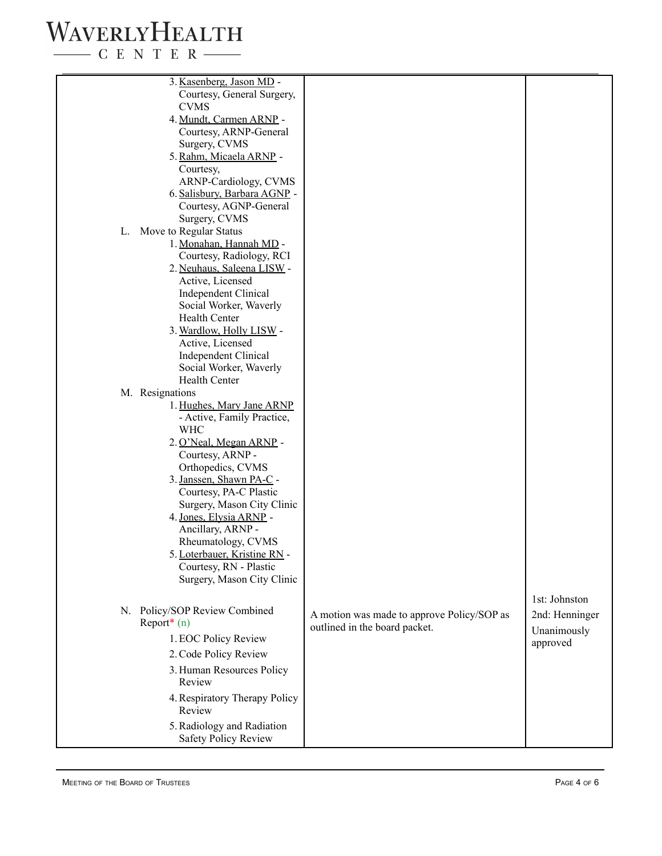## WAVERLYHEALTH

 $\begin{tabular}{c} \quad \quad \textbf{C} \textbf{E} \textbf{N} \textbf{T} \textbf{E} \textbf{R} \end{tabular}$ 

|    | 3. Kasenberg, Jason MD -<br>Courtesy, General Surgery,  |                                            |                |
|----|---------------------------------------------------------|--------------------------------------------|----------------|
|    | <b>CVMS</b>                                             |                                            |                |
|    | 4. Mundt, Carmen ARNP -                                 |                                            |                |
|    | Courtesy, ARNP-General                                  |                                            |                |
|    | Surgery, CVMS                                           |                                            |                |
|    | 5. Rahm, Micaela ARNP -                                 |                                            |                |
|    | Courtesy,                                               |                                            |                |
|    | ARNP-Cardiology, CVMS                                   |                                            |                |
|    | 6. Salisbury, Barbara AGNP -<br>Courtesy, AGNP-General  |                                            |                |
|    | Surgery, CVMS                                           |                                            |                |
| L. | Move to Regular Status                                  |                                            |                |
|    | 1. Monahan, Hannah MD -                                 |                                            |                |
|    | Courtesy, Radiology, RCI                                |                                            |                |
|    | 2. Neuhaus, Saleena LISW -                              |                                            |                |
|    | Active, Licensed                                        |                                            |                |
|    | <b>Independent Clinical</b>                             |                                            |                |
|    | Social Worker, Waverly                                  |                                            |                |
|    | Health Center                                           |                                            |                |
|    | 3. Wardlow, Holly LISW -                                |                                            |                |
|    | Active, Licensed                                        |                                            |                |
|    | <b>Independent Clinical</b>                             |                                            |                |
|    | Social Worker, Waverly                                  |                                            |                |
|    | <b>Health Center</b>                                    |                                            |                |
|    | M. Resignations                                         |                                            |                |
|    | 1. Hughes, Mary Jane ARNP<br>- Active, Family Practice, |                                            |                |
|    | <b>WHC</b>                                              |                                            |                |
|    | 2. O'Neal, Megan ARNP -                                 |                                            |                |
|    | Courtesy, ARNP -                                        |                                            |                |
|    | Orthopedics, CVMS                                       |                                            |                |
|    | 3. Janssen, Shawn PA-C -                                |                                            |                |
|    | Courtesy, PA-C Plastic                                  |                                            |                |
|    | Surgery, Mason City Clinic                              |                                            |                |
|    | 4. Jones, Elysia ARNP -                                 |                                            |                |
|    | Ancillary, ARNP -                                       |                                            |                |
|    | Rheumatology, CVMS                                      |                                            |                |
|    | 5. Loterbauer, Kristine RN                              |                                            |                |
|    | Courtesy, RN - Plastic                                  |                                            |                |
|    | Surgery, Mason City Clinic                              |                                            |                |
|    |                                                         |                                            | 1st: Johnston  |
|    | N. Policy/SOP Review Combined                           | A motion was made to approve Policy/SOP as | 2nd: Henninger |
|    | Report $*(n)$                                           | outlined in the board packet.              | Unanimously    |
|    | 1. EOC Policy Review                                    |                                            | approved       |
|    | 2. Code Policy Review                                   |                                            |                |
|    | 3. Human Resources Policy                               |                                            |                |
|    | Review                                                  |                                            |                |
|    | 4. Respiratory Therapy Policy                           |                                            |                |
|    | Review                                                  |                                            |                |
|    | 5. Radiology and Radiation                              |                                            |                |
|    | <b>Safety Policy Review</b>                             |                                            |                |
|    |                                                         |                                            |                |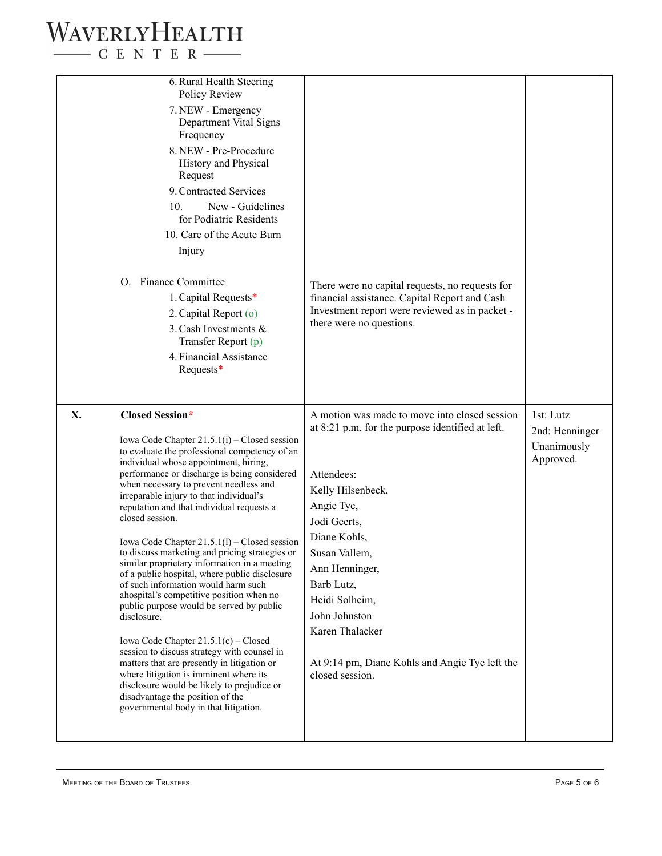### WAVERLYHEALTH  $\begin{tabular}{c} \quad \quad \textbf{C} \quad E \quad N \quad T \quad E \quad R \end{tabular}$

| 6. Rural Health Steering<br>Policy Review<br>7. NEW - Emergency<br>Department Vital Signs<br>Frequency<br>8. NEW - Pre-Procedure<br>History and Physical<br>Request<br>9. Contracted Services<br>10.<br>New - Guidelines<br>for Podiatric Residents<br>10. Care of the Acute Burn<br>Injury<br>O. Finance Committee<br>1. Capital Requests*<br>2. Capital Report (o)<br>3. Cash Investments &<br>Transfer Report (p)<br>4. Financial Assistance<br>Requests*                                                                                                                                                                                                                                                                                                                                                                                                                                                                                                                                                                                  | There were no capital requests, no requests for<br>financial assistance. Capital Report and Cash<br>Investment report were reviewed as in packet -<br>there were no questions.                                                                                                                                                                                 |                                                         |
|-----------------------------------------------------------------------------------------------------------------------------------------------------------------------------------------------------------------------------------------------------------------------------------------------------------------------------------------------------------------------------------------------------------------------------------------------------------------------------------------------------------------------------------------------------------------------------------------------------------------------------------------------------------------------------------------------------------------------------------------------------------------------------------------------------------------------------------------------------------------------------------------------------------------------------------------------------------------------------------------------------------------------------------------------|----------------------------------------------------------------------------------------------------------------------------------------------------------------------------------------------------------------------------------------------------------------------------------------------------------------------------------------------------------------|---------------------------------------------------------|
| X.<br><b>Closed Session*</b><br>Iowa Code Chapter $21.5.1(i)$ – Closed session<br>to evaluate the professional competency of an<br>individual whose appointment, hiring,<br>performance or discharge is being considered<br>when necessary to prevent needless and<br>irreparable injury to that individual's<br>reputation and that individual requests a<br>closed session.<br>Iowa Code Chapter $21.5.1(l)$ – Closed session<br>to discuss marketing and pricing strategies or<br>similar proprietary information in a meeting<br>of a public hospital, where public disclosure<br>of such information would harm such<br>ahospital's competitive position when no<br>public purpose would be served by public<br>disclosure.<br>Iowa Code Chapter $21.5.1(c)$ – Closed<br>session to discuss strategy with counsel in<br>matters that are presently in litigation or<br>where litigation is imminent where its<br>disclosure would be likely to prejudice or<br>disadvantage the position of the<br>governmental body in that litigation. | A motion was made to move into closed session<br>at 8:21 p.m. for the purpose identified at left.<br>Attendees:<br>Kelly Hilsenbeck,<br>Angie Tye,<br>Jodi Geerts,<br>Diane Kohls,<br>Susan Vallem,<br>Ann Henninger,<br>Barb Lutz,<br>Heidi Solheim,<br>John Johnston<br>Karen Thalacker<br>At 9:14 pm, Diane Kohls and Angie Tye left the<br>closed session. | 1st: Lutz<br>2nd: Henninger<br>Unanimously<br>Approved. |